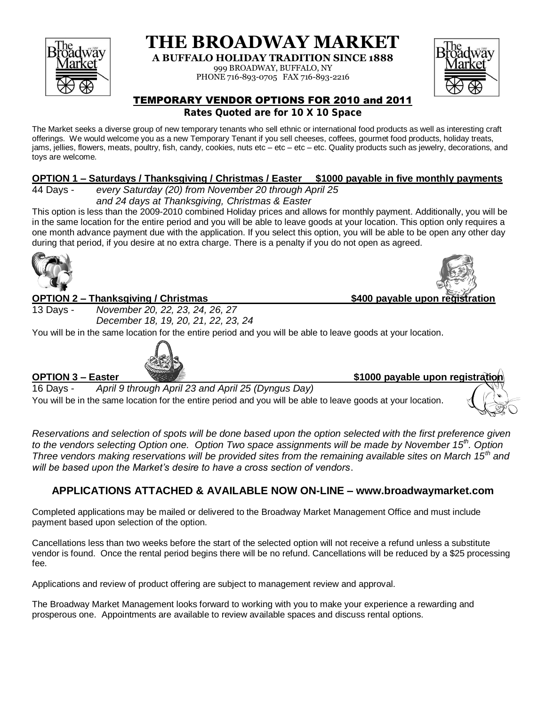

**THE BROADWAY MARKET**

**A BUFFALO HOLIDAY TRADITION SINCE 1888**

999 BROADWAY, BUFFALO, NY

PHONE 716-893-0705 FAX 716-893-2216



# TEMPORARY VENDOR OPTIONS FOR 2010 and 2011

**Rates Quoted are for 10 X 10 Space**

The Market seeks a diverse group of new temporary tenants who sell ethnic or international food products as well as interesting craft offerings. We would welcome you as a new Temporary Tenant if you sell cheeses, coffees, gourmet food products, holiday treats, jams, jellies, flowers, meats, poultry, fish, candy, cookies, nuts etc – etc – etc – etc. Quality products such as jewelry, decorations, and toys are welcome.

### **OPTION 1 – Saturdays / Thanksgiving / Christmas / Easter \$1000 payable in five monthly payments**

44 Days - *every Saturday (20) from November 20 through April 25 and 24 days at Thanksgiving, Christmas & Easter*

This option is less than the 2009-2010 combined Holiday prices and allows for monthly payment. Additionally, you will be in the same location for the entire period and you will be able to leave goods at your location. This option only requires a one month advance payment due with the application. If you select this option, you will be able to be open any other day during that period, if you desire at no extra charge. There is a penalty if you do not open as agreed.



#### **OPTION 2 – Thanksgiving / Christmas \$400 payable upon registration**

13 Days - *November 20, 22, 23, 24, 26, 27 December 18, 19, 20, 21, 22, 23, 24*

You will be in the same location for the entire period and you will be able to leave goods at your location.



**OPTION 3** – Easter **\$1000** payable upon registration

16 Days - *April 9 through April 23 and April 25 (Dyngus Day)* You will be in the same location for the entire period and you will be able to leave goods at your location.

*Reservations and selection of spots will be done based upon the option selected with the first preference given to the vendors selecting Option one. Option Two space assignments will be made by November 15th . Option Three vendors making reservations will be provided sites from the remaining available sites on March 15th and will be based upon the Market's desire to have a cross section of vendors*.

# **APPLICATIONS ATTACHED & AVAILABLE NOW ON-LINE – www.broadwaymarket.com**

Completed applications may be mailed or delivered to the Broadway Market Management Office and must include payment based upon selection of the option.

Cancellations less than two weeks before the start of the selected option will not receive a refund unless a substitute vendor is found. Once the rental period begins there will be no refund. Cancellations will be reduced by a \$25 processing fee.

Applications and review of product offering are subject to management review and approval.

The Broadway Market Management looks forward to working with you to make your experience a rewarding and prosperous one. Appointments are available to review available spaces and discuss rental options.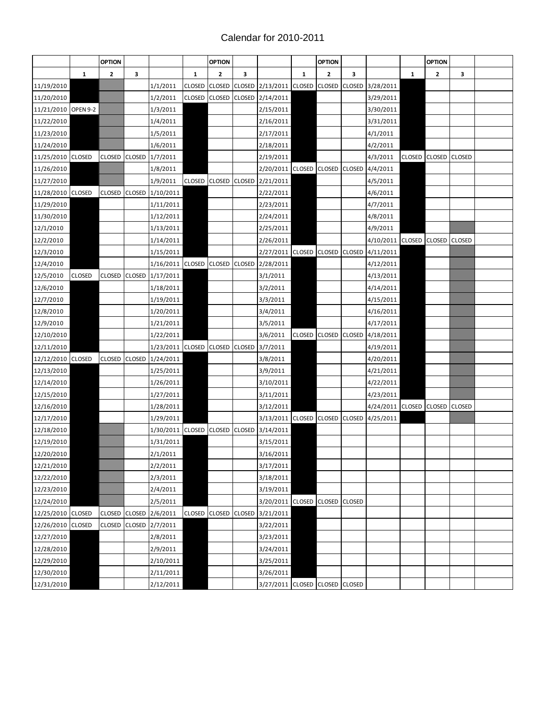## Calendar for 2010-2011

|                     |               | <b>OPTION</b> |               |                                |               | <b>OPTION</b> |               |                                |               | <b>OPTION</b> |               |                  |              | <b>OPTION</b>        |   |  |
|---------------------|---------------|---------------|---------------|--------------------------------|---------------|---------------|---------------|--------------------------------|---------------|---------------|---------------|------------------|--------------|----------------------|---|--|
|                     | $\mathbf{1}$  | 2             | 3             |                                | 1             | $\mathbf{z}$  | 3             |                                | $\mathbf{1}$  | $\mathbf{z}$  | 3             |                  | $\mathbf{1}$ | $\overline{2}$       | 3 |  |
| 11/19/2010          |               |               |               | 1/1/2011                       | CLOSED        | <b>CLOSED</b> | <b>CLOSED</b> | 2/13/2011 CLOSED               |               | CLOSED        |               | CLOSED 3/28/2011 |              |                      |   |  |
| 11/20/2010          |               |               |               | 1/2/2011                       |               |               |               | CLOSED CLOSED CLOSED 2/14/2011 |               |               |               | 3/29/2011        |              |                      |   |  |
| 11/21/2010 OPEN 9-2 |               |               |               | 1/3/2011                       |               |               |               | 2/15/2011                      |               |               |               | 3/30/2011        |              |                      |   |  |
| 11/22/2010          |               |               |               | 1/4/2011                       |               |               |               | 2/16/2011                      |               |               |               | 3/31/2011        |              |                      |   |  |
| 11/23/2010          |               |               |               | 1/5/2011                       |               |               |               | 2/17/2011                      |               |               |               | 4/1/2011         |              |                      |   |  |
| 11/24/2010          |               |               |               | 1/6/2011                       |               |               |               | 2/18/2011                      |               |               |               | 4/2/2011         |              |                      |   |  |
| 11/25/2010 CLOSED   |               | <b>CLOSED</b> |               | CLOSED 1/7/2011                |               |               |               | 2/19/2011                      |               |               |               | 4/3/2011         | CLOSED       | CLOSED CLOSED        |   |  |
| 11/26/2010          |               |               |               | 1/8/2011                       |               |               |               | 2/20/2011 CLOSED               |               | <b>CLOSED</b> |               | CLOSED 4/4/2011  |              |                      |   |  |
| 11/27/2010          |               |               |               | 1/9/2011                       | <b>CLOSED</b> | CLOSED CLOSED |               | 2/21/2011                      |               |               |               | 4/5/2011         |              |                      |   |  |
| 11/28/2010 CLOSED   |               | <b>CLOSED</b> |               | CLOSED 1/10/2011               |               |               |               | 2/22/2011                      |               |               |               | 4/6/2011         |              |                      |   |  |
| 11/29/2010          |               |               |               | 1/11/2011                      |               |               |               | 2/23/2011                      |               |               |               | 4/7/2011         |              |                      |   |  |
| 11/30/2010          |               |               |               | 1/12/2011                      |               |               |               | 2/24/2011                      |               |               |               | 4/8/2011         |              |                      |   |  |
| 12/1/2010           |               |               |               | 1/13/2011                      |               |               |               | 2/25/2011                      |               |               |               | 4/9/2011         |              |                      |   |  |
| 12/2/2010           |               |               |               | 1/14/2011                      |               |               |               | 2/26/2011                      |               |               |               | 4/10/2011        |              | CLOSED CLOSED CLOSED |   |  |
| 12/3/2010           |               |               |               | 1/15/2011                      |               |               |               | 2/27/2011 CLOSED               |               | <b>CLOSED</b> |               | CLOSED 4/11/2011 |              |                      |   |  |
| 12/4/2010           |               |               |               | 1/16/2011 CLOSED CLOSED        |               |               | <b>CLOSED</b> | 2/28/2011                      |               |               |               | 4/12/2011        |              |                      |   |  |
| 12/5/2010           | <b>CLOSED</b> | <b>CLOSED</b> |               | CLOSED 1/17/2011               |               |               |               | 3/1/2011                       |               |               |               | 4/13/2011        |              |                      |   |  |
| 12/6/2010           |               |               |               | 1/18/2011                      |               |               |               | 3/2/2011                       |               |               |               | 4/14/2011        |              |                      |   |  |
| 12/7/2010           |               |               |               | 1/19/2011                      |               |               |               | 3/3/2011                       |               |               |               | 4/15/2011        |              |                      |   |  |
| 12/8/2010           |               |               |               | 1/20/2011                      |               |               |               | 3/4/2011                       |               |               |               | 4/16/2011        |              |                      |   |  |
| 12/9/2010           |               |               |               | 1/21/2011                      |               |               |               | 3/5/2011                       |               |               |               | 4/17/2011        |              |                      |   |  |
| 12/10/2010          |               |               |               | 1/22/2011                      |               |               |               | 3/6/2011                       | <b>CLOSED</b> | <b>CLOSED</b> |               | CLOSED 4/18/2011 |              |                      |   |  |
| 12/11/2010          |               |               |               | 1/23/2011 CLOSED               |               | CLOSED CLOSED |               | 3/7/2011                       |               |               |               | 4/19/2011        |              |                      |   |  |
| 12/12/2010 CLOSED   |               | <b>CLOSED</b> |               | CLOSED 1/24/2011               |               |               |               | 3/8/2011                       |               |               |               | 4/20/2011        |              |                      |   |  |
| 12/13/2010          |               |               |               | 1/25/2011                      |               |               |               | 3/9/2011                       |               |               |               | 4/21/2011        |              |                      |   |  |
| 12/14/2010          |               |               |               | 1/26/2011                      |               |               |               | 3/10/2011                      |               |               |               | 4/22/2011        |              |                      |   |  |
| 12/15/2010          |               |               |               | 1/27/2011                      |               |               |               | 3/11/2011                      |               |               |               | 4/23/2011        |              |                      |   |  |
| 12/16/2010          |               |               |               | 1/28/2011                      |               |               |               | 3/12/2011                      |               |               |               | 4/24/2011        |              | CLOSED CLOSED CLOSED |   |  |
| 12/17/2010          |               |               |               | 1/29/2011                      |               |               |               | 3/13/2011 CLOSED CLOSED        |               |               |               | CLOSED 4/25/2011 |              |                      |   |  |
| 12/18/2010          |               |               |               | 1/30/2011 CLOSED CLOSED CLOSED |               |               |               | 3/14/2011                      |               |               |               |                  |              |                      |   |  |
| 12/19/2010          |               |               |               | 1/31/2011                      |               |               |               | 3/15/2011                      |               |               |               |                  |              |                      |   |  |
| 12/20/2010          |               |               |               | 2/1/2011                       |               |               |               | 3/16/2011                      |               |               |               |                  |              |                      |   |  |
| 12/21/2010          |               |               |               | 2/2/2011                       |               |               |               | 3/17/2011                      |               |               |               |                  |              |                      |   |  |
| 12/22/2010          |               |               |               | 2/3/2011                       |               |               |               | 3/18/2011                      |               |               |               |                  |              |                      |   |  |
| 12/23/2010          |               |               |               | 2/4/2011                       |               |               |               | 3/19/2011                      |               |               |               |                  |              |                      |   |  |
| 12/24/2010          |               |               |               | 2/5/2011                       |               |               |               | 3/20/2011 CLOSED               |               | <b>CLOSED</b> | CLOSED        |                  |              |                      |   |  |
| 12/25/2010 CLOSED   |               | <b>CLOSED</b> | <b>CLOSED</b> | 2/6/2011                       | <b>CLOSED</b> | CLOSED CLOSED |               | 3/21/2011                      |               |               |               |                  |              |                      |   |  |
| 12/26/2010 CLOSED   |               | <b>CLOSED</b> | CLOSED        | 2/7/2011                       |               |               |               | 3/22/2011                      |               |               |               |                  |              |                      |   |  |
| 12/27/2010          |               |               |               | 2/8/2011                       |               |               |               | 3/23/2011                      |               |               |               |                  |              |                      |   |  |
| 12/28/2010          |               |               |               | 2/9/2011                       |               |               |               | 3/24/2011                      |               |               |               |                  |              |                      |   |  |
| 12/29/2010          |               |               |               | 2/10/2011                      |               |               |               | 3/25/2011                      |               |               |               |                  |              |                      |   |  |
| 12/30/2010          |               |               |               | 2/11/2011                      |               |               |               | 3/26/2011                      |               |               |               |                  |              |                      |   |  |
| 12/31/2010          |               |               |               | 2/12/2011                      |               |               |               | 3/27/2011 CLOSED CLOSED        |               |               | <b>CLOSED</b> |                  |              |                      |   |  |